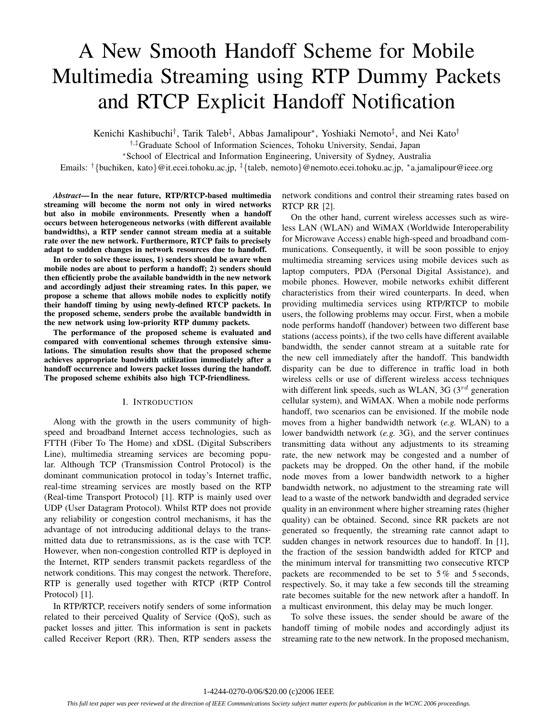# A New Smooth Handoff Scheme for Mobile Multimedia Streaming using RTP Dummy Packets and RTCP Explicit Handoff Notification

Kenichi Kashibuchi†, Tarik Taleb‡, Abbas Jamalipour∗, Yoshiaki Nemoto‡, and Nei Kato†

†*,*‡Graduate School of Information Sciences, Tohoku University, Sendai, Japan

∗School of Electrical and Information Engineering, University of Sydney, Australia

Emails: †*{*buchiken, kato*}*@it.ecei.tohoku.ac.jp, ‡*{*taleb, nemoto*}*@nemoto.ecei.tohoku.ac.jp, <sup>∗</sup>a.jamalipour@ieee.org

*Abstract***— In the near future, RTP/RTCP-based multimedia streaming will become the norm not only in wired networks but also in mobile environments. Presently when a handoff occurs between heterogeneous networks (with different available bandwidths), a RTP sender cannot stream media at a suitable rate over the new network. Furthermore, RTCP fails to precisely adapt to sudden changes in network resources due to handoff.**

**In order to solve these issues, 1) senders should be aware when mobile nodes are about to perform a handoff; 2) senders should then efficiently probe the available bandwidth in the new network and accordingly adjust their streaming rates. In this paper, we propose a scheme that allows mobile nodes to explicitly notify their handoff timing by using newly-defined RTCP packets. In the proposed scheme, senders probe the available bandwidth in the new network using low-priority RTP dummy packets.**

**The performance of the proposed scheme is evaluated and compared with conventional schemes through extensive simulations. The simulation results show that the proposed scheme achieves appropriate bandwidth utilization immediately after a handoff occurrence and lowers packet losses during the handoff. The proposed scheme exhibits also high TCP-friendliness.**

#### I. INTRODUCTION

Along with the growth in the users community of highspeed and broadband Internet access technologies, such as FTTH (Fiber To The Home) and xDSL (Digital Subscribers Line), multimedia streaming services are becoming popular. Although TCP (Transmission Control Protocol) is the dominant communication protocol in today's Internet traffic, real-time streaming services are mostly based on the RTP (Real-time Transport Protocol) [1]. RTP is mainly used over UDP (User Datagram Protocol). Whilst RTP does not provide any reliability or congestion control mechanisms, it has the advantage of not introducing additional delays to the transmitted data due to retransmissions, as is the case with TCP. However, when non-congestion controlled RTP is deployed in the Internet, RTP senders transmit packets regardless of the network conditions. This may congest the network. Therefore, RTP is generally used together with RTCP (RTP Control Protocol) [1].

In RTP/RTCP, receivers notify senders of some information related to their perceived Quality of Service (QoS), such as packet losses and jitter. This information is sent in packets called Receiver Report (RR). Then, RTP senders assess the network conditions and control their streaming rates based on RTCP RR [2].

On the other hand, current wireless accesses such as wireless LAN (WLAN) and WiMAX (Worldwide Interoperability for Microwave Access) enable high-speed and broadband communications. Consequently, it will be soon possible to enjoy multimedia streaming services using mobile devices such as laptop computers, PDA (Personal Digital Assistance), and mobile phones. However, mobile networks exhibit different characteristics from their wired counterparts. In deed, when providing multimedia services using RTP/RTCP to mobile users, the following problems may occur. First, when a mobile node performs handoff (handover) between two different base stations (access points), if the two cells have different available bandwidth, the sender cannot stream at a suitable rate for the new cell immediately after the handoff. This bandwidth disparity can be due to difference in traffic load in both wireless cells or use of different wireless access techniques with different link speeds, such as WLAN, 3G (3*rd* generation cellular system), and WiMAX. When a mobile node performs handoff, two scenarios can be envisioned. If the mobile node moves from a higher bandwidth network (*e.g.* WLAN) to a lower bandwidth network (*e.g.* 3G), and the server continues transmitting data without any adjustments to its streaming rate, the new network may be congested and a number of packets may be dropped. On the other hand, if the mobile node moves from a lower bandwidth network to a higher bandwidth network, no adjustment to the streaming rate will lead to a waste of the network bandwidth and degraded service quality in an environment where higher streaming rates (higher quality) can be obtained. Second, since RR packets are not generated so frequently, the streaming rate cannot adapt to sudden changes in network resources due to handoff. In [1], the fraction of the session bandwidth added for RTCP and the minimum interval for transmitting two consecutive RTCP packets are recommended to be set to 5 % and 5 seconds, respectively. So, it may take a few seconds till the streaming rate becomes suitable for the new network after a handoff. In a multicast environment, this delay may be much longer.

To solve these issues, the sender should be aware of the handoff timing of mobile nodes and accordingly adjust its streaming rate to the new network. In the proposed mechanism,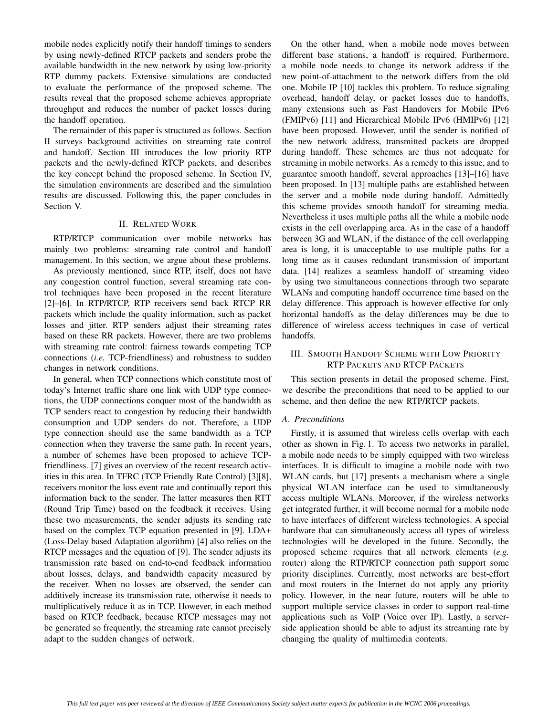mobile nodes explicitly notify their handoff timings to senders by using newly-defined RTCP packets and senders probe the available bandwidth in the new network by using low-priority RTP dummy packets. Extensive simulations are conducted to evaluate the performance of the proposed scheme. The results reveal that the proposed scheme achieves appropriate throughput and reduces the number of packet losses during the handoff operation.

The remainder of this paper is structured as follows. Section II surveys background activities on streaming rate control and handoff. Section III introduces the low priority RTP packets and the newly-defined RTCP packets, and describes the key concept behind the proposed scheme. In Section IV, the simulation environments are described and the simulation results are discussed. Following this, the paper concludes in Section V.

#### II. RELATED WORK

RTP/RTCP communication over mobile networks has mainly two problems: streaming rate control and handoff management. In this section, we argue about these problems.

As previously mentioned, since RTP, itself, does not have any congestion control function, several streaming rate control techniques have been proposed in the recent literature [2]–[6]. In RTP/RTCP, RTP receivers send back RTCP RR packets which include the quality information, such as packet losses and jitter. RTP senders adjust their streaming rates based on these RR packets. However, there are two problems with streaming rate control: fairness towards competing TCP connections (*i.e.* TCP-friendliness) and robustness to sudden changes in network conditions.

In general, when TCP connections which constitute most of today's Internet traffic share one link with UDP type connections, the UDP connections conquer most of the bandwidth as TCP senders react to congestion by reducing their bandwidth consumption and UDP senders do not. Therefore, a UDP type connection should use the same bandwidth as a TCP connection when they traverse the same path. In recent years, a number of schemes have been proposed to achieve TCPfriendliness. [7] gives an overview of the recent research activities in this area. In TFRC (TCP Friendly Rate Control) [3][8], receivers monitor the loss event rate and continually report this information back to the sender. The latter measures then RTT (Round Trip Time) based on the feedback it receives. Using these two measurements, the sender adjusts its sending rate based on the complex TCP equation presented in [9]. LDA+ (Loss-Delay based Adaptation algorithm) [4] also relies on the RTCP messages and the equation of [9]. The sender adjusts its transmission rate based on end-to-end feedback information about losses, delays, and bandwidth capacity measured by the receiver. When no losses are observed, the sender can additively increase its transmission rate, otherwise it needs to multiplicatively reduce it as in TCP. However, in each method based on RTCP feedback, because RTCP messages may not be generated so frequently, the streaming rate cannot precisely adapt to the sudden changes of network.

On the other hand, when a mobile node moves between different base stations, a handoff is required. Furthermore, a mobile node needs to change its network address if the new point-of-attachment to the network differs from the old one. Mobile IP [10] tackles this problem. To reduce signaling overhead, handoff delay, or packet losses due to handoffs, many extensions such as Fast Handovers for Mobile IPv6 (FMIPv6) [11] and Hierarchical Mobile IPv6 (HMIPv6) [12] have been proposed. However, until the sender is notified of the new network address, transmitted packets are dropped during handoff. These schemes are thus not adequate for streaming in mobile networks. As a remedy to this issue, and to guarantee smooth handoff, several approaches [13]–[16] have been proposed. In [13] multiple paths are established between the server and a mobile node during handoff. Admittedly this scheme provides smooth handoff for streaming media. Nevertheless it uses multiple paths all the while a mobile node exists in the cell overlapping area. As in the case of a handoff between 3G and WLAN, if the distance of the cell overlapping area is long, it is unacceptable to use multiple paths for a long time as it causes redundant transmission of important data. [14] realizes a seamless handoff of streaming video by using two simultaneous connections through two separate WLANs and computing handoff occurrence time based on the delay difference. This approach is however effective for only horizontal handoffs as the delay differences may be due to difference of wireless access techniques in case of vertical handoffs.

# III. SMOOTH HANDOFF SCHEME WITH LOW PRIORITY RTP PACKETS AND RTCP PACKETS

This section presents in detail the proposed scheme. First, we describe the preconditions that need to be applied to our scheme, and then define the new RTP/RTCP packets.

#### *A. Preconditions*

Firstly, it is assumed that wireless cells overlap with each other as shown in Fig. 1. To access two networks in parallel, a mobile node needs to be simply equipped with two wireless interfaces. It is difficult to imagine a mobile node with two WLAN cards, but [17] presents a mechanism where a single physical WLAN interface can be used to simultaneously access multiple WLANs. Moreover, if the wireless networks get integrated further, it will become normal for a mobile node to have interfaces of different wireless technologies. A special hardware that can simultaneously access all types of wireless technologies will be developed in the future. Secondly, the proposed scheme requires that all network elements (*e.g.* router) along the RTP/RTCP connection path support some priority disciplines. Currently, most networks are best-effort and most routers in the Internet do not apply any priority policy. However, in the near future, routers will be able to support multiple service classes in order to support real-time applications such as VoIP (Voice over IP). Lastly, a serverside application should be able to adjust its streaming rate by changing the quality of multimedia contents.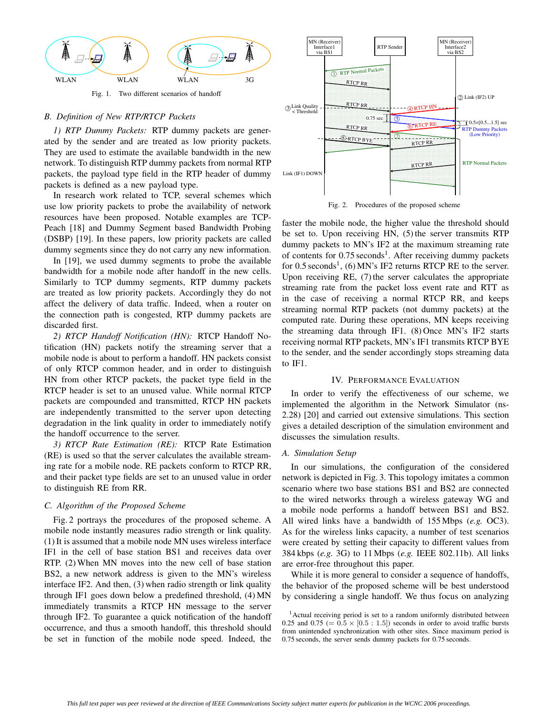

# Fig. 1. Two different scenarios of handoff

## *B. Definition of New RTP/RTCP Packets*

*1) RTP Dummy Packets:* RTP dummy packets are generated by the sender and are treated as low priority packets. They are used to estimate the available bandwidth in the new network. To distinguish RTP dummy packets from normal RTP packets, the payload type field in the RTP header of dummy packets is defined as a new payload type.

In research work related to TCP, several schemes which use low priority packets to probe the availability of network resources have been proposed. Notable examples are TCP-Peach [18] and Dummy Segment based Bandwidth Probing (DSBP) [19]. In these papers, low priority packets are called dummy segments since they do not carry any new information.

In [19], we used dummy segments to probe the available bandwidth for a mobile node after handoff in the new cells. Similarly to TCP dummy segments, RTP dummy packets are treated as low priority packets. Accordingly they do not affect the delivery of data traffic. Indeed, when a router on the connection path is congested, RTP dummy packets are discarded first.

*2) RTCP Handoff Notification (HN):* RTCP Handoff Notification (HN) packets notify the streaming server that a mobile node is about to perform a handoff. HN packets consist of only RTCP common header, and in order to distinguish HN from other RTCP packets, the packet type field in the RTCP header is set to an unused value. While normal RTCP packets are compounded and transmitted, RTCP HN packets are independently transmitted to the server upon detecting degradation in the link quality in order to immediately notify the handoff occurrence to the server.

*3) RTCP Rate Estimation (RE):* RTCP Rate Estimation (RE) is used so that the server calculates the available streaming rate for a mobile node. RE packets conform to RTCP RR, and their packet type fields are set to an unused value in order to distinguish RE from RR.

# *C. Algorithm of the Proposed Scheme*

Fig. 2 portrays the procedures of the proposed scheme. A mobile node instantly measures radio strength or link quality. (1) It is assumed that a mobile node MN uses wireless interface IF1 in the cell of base station BS1 and receives data over RTP. (2) When MN moves into the new cell of base station BS2, a new network address is given to the MN's wireless interface IF2. And then, (3) when radio strength or link quality through IF1 goes down below a predefined threshold, (4) MN immediately transmits a RTCP HN message to the server through IF2. To guarantee a quick notification of the handoff occurrence, and thus a smooth handoff, this threshold should be set in function of the mobile node speed. Indeed, the



Fig. 2. Procedures of the proposed scheme

faster the mobile node, the higher value the threshold should be set to. Upon receiving HN, (5) the server transmits RTP dummy packets to MN's IF2 at the maximum streaming rate of contents for  $0.75$  seconds<sup>1</sup>. After receiving dummy packets for  $0.5$  seconds<sup>1</sup>, (6) MN's IF2 returns RTCP RE to the server. Upon receiving RE, (7) the server calculates the appropriate streaming rate from the packet loss event rate and RTT as in the case of receiving a normal RTCP RR, and keeps streaming normal RTP packets (not dummy packets) at the computed rate. During these operations, MN keeps receiving the streaming data through IF1. (8) Once MN's IF2 starts receiving normal RTP packets, MN's IF1 transmits RTCP BYE to the sender, and the sender accordingly stops streaming data to IF1.

# IV. PERFORMANCE EVALUATION

In order to verify the effectiveness of our scheme, we implemented the algorithm in the Network Simulator (ns-2.28) [20] and carried out extensive simulations. This section gives a detailed description of the simulation environment and discusses the simulation results.

#### *A. Simulation Setup*

In our simulations, the configuration of the considered network is depicted in Fig. 3. This topology imitates a common scenario where two base stations BS1 and BS2 are connected to the wired networks through a wireless gateway WG and a mobile node performs a handoff between BS1 and BS2. All wired links have a bandwidth of 155 Mbps (*e.g.* OC3). As for the wireless links capacity, a number of test scenarios were created by setting their capacity to different values from 384 kbps (*e.g.* 3G) to 11 Mbps (*e.g.* IEEE 802.11b). All links are error-free throughout this paper.

While it is more general to consider a sequence of handoffs, the behavior of the proposed scheme will be best understood by considering a single handoff. We thus focus on analyzing

<sup>&</sup>lt;sup>1</sup> Actual receiving period is set to a random uniformly distributed between 0.25 and 0.75 ( $= 0.5 \times [0.5 : 1.5]$ ) seconds in order to avoid traffic bursts from unintended synchronization with other sites. Since maximum period is 0.75 seconds, the server sends dummy packets for 0.75 seconds.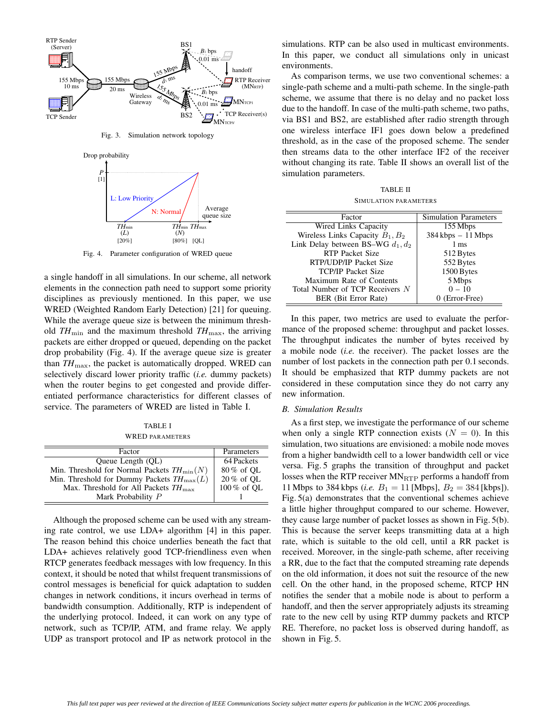



Fig. 4. Parameter configuration of WRED queue

a single handoff in all simulations. In our scheme, all network elements in the connection path need to support some priority disciplines as previously mentioned. In this paper, we use WRED (Weighted Random Early Detection) [21] for queuing. While the average queue size is between the minimum threshold  $TH_{\text{min}}$  and the maximum threshold  $TH_{\text{max}}$ , the arriving packets are either dropped or queued, depending on the packet drop probability (Fig. 4). If the average queue size is greater than  $TH_{\text{max}}$ , the packet is automatically dropped. WRED can selectively discard lower priority traffic (*i.e.* dummy packets) when the router begins to get congested and provide differentiated performance characteristics for different classes of service. The parameters of WRED are listed in Table I.

TABLE I WRED PARAMETERS

| Factor                                                | Parameters |
|-------------------------------------------------------|------------|
| Queue Length (QL)                                     | 64 Packets |
| Min. Threshold for Normal Packets $TH_{\min}(N)$      | 80% of OL  |
| Min. Threshold for Dummy Packets $TH_{\text{max}}(L)$ | 20% of QL  |
| Max. Threshold for All Packets $TH_{\text{max}}$      | 100% of QL |
| Mark Probability P                                    |            |

Although the proposed scheme can be used with any streaming rate control, we use LDA+ algorithm [4] in this paper. The reason behind this choice underlies beneath the fact that LDA+ achieves relatively good TCP-friendliness even when RTCP generates feedback messages with low frequency. In this context, it should be noted that whilst frequent transmissions of control messages is beneficial for quick adaptation to sudden changes in network conditions, it incurs overhead in terms of bandwidth consumption. Additionally, RTP is independent of the underlying protocol. Indeed, it can work on any type of network, such as TCP/IP, ATM, and frame relay. We apply UDP as transport protocol and IP as network protocol in the simulations. RTP can be also used in multicast environments. In this paper, we conduct all simulations only in unicast environments.

As comparison terms, we use two conventional schemes: a single-path scheme and a multi-path scheme. In the single-path scheme, we assume that there is no delay and no packet loss due to the handoff. In case of the multi-path scheme, two paths, via BS1 and BS2, are established after radio strength through one wireless interface IF1 goes down below a predefined threshold, as in the case of the proposed scheme. The sender then streams data to the other interface IF2 of the receiver without changing its rate. Table II shows an overall list of the simulation parameters.

TABLE II SIMULATION PARAMETERS

| Factor                              | <b>Simulation Parameters</b> |
|-------------------------------------|------------------------------|
| Wired Links Capacity                | 155 Mbps                     |
| Wireless Links Capacity $B_1, B_2$  | $384$ kbps $-11$ Mbps        |
| Link Delay between BS-WG $d_1, d_2$ | $1 \text{ ms}$               |
| <b>RTP</b> Packet Size              | 512 Bytes                    |
| RTP/UDP/IP Packet Size              | 552 Bytes                    |
| <b>TCP/IP Packet Size</b>           | 1500 Bytes                   |
| Maximum Rate of Contents            | 5 Mbps                       |
| Total Number of TCP Receivers N     | $0 - 10$                     |
| <b>BER</b> (Bit Error Rate)         | $0$ (Error-Free)             |

In this paper, two metrics are used to evaluate the performance of the proposed scheme: throughput and packet losses. The throughput indicates the number of bytes received by a mobile node (*i.e.* the receiver). The packet losses are the number of lost packets in the connection path per 0.1 seconds. It should be emphasized that RTP dummy packets are not considered in these computation since they do not carry any new information.

#### *B. Simulation Results*

As a first step, we investigate the performance of our scheme when only a single RTP connection exists  $(N = 0)$ . In this simulation, two situations are envisioned: a mobile node moves from a higher bandwidth cell to a lower bandwidth cell or vice versa. Fig. 5 graphs the transition of throughput and packet losses when the RTP receiver  $MN_{RTP}$  performs a handoff from 11 Mbps to 384 kbps (*i.e.*  $B_1 = 11$  [Mbps],  $B_2 = 384$  [kbps]). Fig. 5(a) demonstrates that the conventional schemes achieve a little higher throughput compared to our scheme. However, they cause large number of packet losses as shown in Fig. 5(b). This is because the server keeps transmitting data at a high rate, which is suitable to the old cell, until a RR packet is received. Moreover, in the single-path scheme, after receiving a RR, due to the fact that the computed streaming rate depends on the old information, it does not suit the resource of the new cell. On the other hand, in the proposed scheme, RTCP HN notifies the sender that a mobile node is about to perform a handoff, and then the server appropriately adjusts its streaming rate to the new cell by using RTP dummy packets and RTCP RE. Therefore, no packet loss is observed during handoff, as shown in Fig. 5.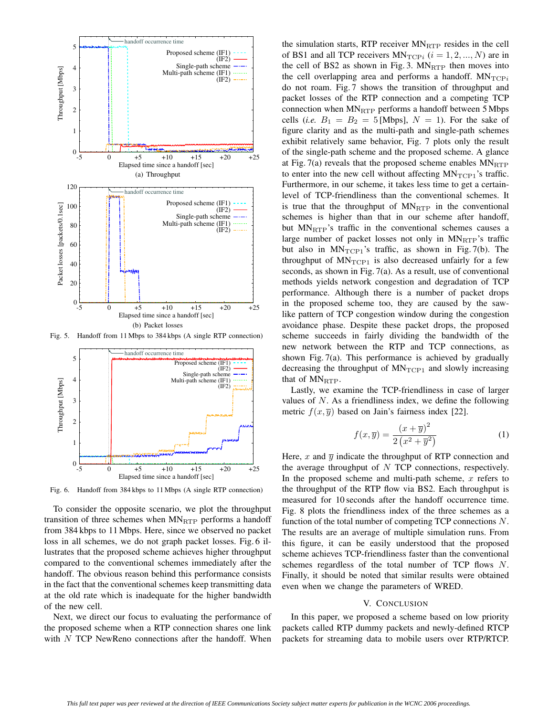

Fig. 5. Handoff from 11 Mbps to 384 kbps (A single RTP connection)



Fig. 6. Handoff from 384 kbps to 11 Mbps (A single RTP connection)

To consider the opposite scenario, we plot the throughput transition of three schemes when  $MN_{\text{RTP}}$  performs a handoff from 384 kbps to 11 Mbps. Here, since we observed no packet loss in all schemes, we do not graph packet losses. Fig. 6 illustrates that the proposed scheme achieves higher throughput compared to the conventional schemes immediately after the handoff. The obvious reason behind this performance consists in the fact that the conventional schemes keep transmitting data at the old rate which is inadequate for the higher bandwidth of the new cell.

Next, we direct our focus to evaluating the performance of the proposed scheme when a RTP connection shares one link with *N* TCP NewReno connections after the handoff. When

the simulation starts, RTP receiver MN<sub>RTP</sub> resides in the cell of BS1 and all TCP receivers  $MN_{\text{TCP }i}$   $(i = 1, 2, ..., N)$  are in the cell of BS2 as shown in Fig. 3.  $MN<sub>RTP</sub>$  then moves into the cell overlapping area and performs a handoff.  $MN_{\text{TCP}i}$ do not roam. Fig. 7 shows the transition of throughput and packet losses of the RTP connection and a competing TCP connection when  $MN_{RTP}$  performs a handoff between 5 Mbps cells (*i.e.*  $B_1 = B_2 = 5$  [Mbps],  $N = 1$ ). For the sake of figure clarity and as the multi-path and single-path schemes exhibit relatively same behavior, Fig. 7 plots only the result of the single-path scheme and the proposed scheme. A glance at Fig. 7(a) reveals that the proposed scheme enables  $MN_{RTP}$ to enter into the new cell without affecting  $MN_{\text{TCP1}}$ 's traffic. Furthermore, in our scheme, it takes less time to get a certainlevel of TCP-friendliness than the conventional schemes. It is true that the throughput of  $MN_{RTP}$  in the conventional schemes is higher than that in our scheme after handoff, but MN<sub>RTP</sub>'s traffic in the conventional schemes causes a large number of packet losses not only in  $MN_{RTP}$ 's traffic but also in  $MN_{\text{TCP1}}$ 's traffic, as shown in Fig. 7(b). The throughput of  $MN<sub>TCP1</sub>$  is also decreased unfairly for a few seconds, as shown in Fig. 7(a). As a result, use of conventional methods yields network congestion and degradation of TCP performance. Although there is a number of packet drops in the proposed scheme too, they are caused by the sawlike pattern of TCP congestion window during the congestion avoidance phase. Despite these packet drops, the proposed scheme succeeds in fairly dividing the bandwidth of the new network between the RTP and TCP connections, as shown Fig. 7(a). This performance is achieved by gradually decreasing the throughput of  $MN<sub>TCP1</sub>$  and slowly increasing that of  $MN_{RTP}$ .

Lastly, we examine the TCP-friendliness in case of larger values of *N*. As a friendliness index, we define the following metric  $f(x, \overline{y})$  based on Jain's fairness index [22].

$$
f(x,\overline{y}) = \frac{(x+\overline{y})^2}{2\left(x^2+\overline{y}^2\right)}
$$
 (1)

Here,  $x$  and  $\overline{y}$  indicate the throughput of RTP connection and the average throughput of *N* TCP connections, respectively. In the proposed scheme and multi-path scheme, *x* refers to the throughput of the RTP flow via BS2. Each throughput is measured for 10 seconds after the handoff occurrence time. Fig. 8 plots the friendliness index of the three schemes as a function of the total number of competing TCP connections *N*. The results are an average of multiple simulation runs. From this figure, it can be easily understood that the proposed scheme achieves TCP-friendliness faster than the conventional schemes regardless of the total number of TCP flows *N*. Finally, it should be noted that similar results were obtained even when we change the parameters of WRED.

#### V. CONCLUSION

In this paper, we proposed a scheme based on low priority packets called RTP dummy packets and newly-defined RTCP packets for streaming data to mobile users over RTP/RTCP.